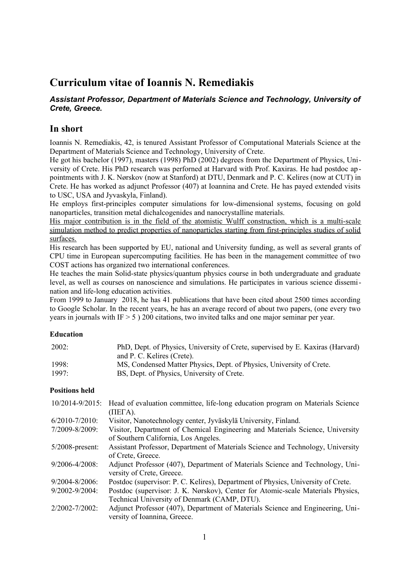# **Curriculum vitae of Ioannis N. Remediakis**

# *Assistant Professor, Department of Materials Science and Technology, University of Crete, Greece.*

# **In short**

Ioannis N. Remediakis, 42, is tenured Assistant Professor of Computational Materials Science at the Department of Materials Science and Technology, University of Crete.

He got his bachelor (1997), masters (1998) PhD (2002) degrees from the Department of Physics, University of Crete. His PhD research was perforned at Harvard with Prof. Kaxiras. He had postdoc ap pointments with J. K. Nørskov (now at Stanford) at DTU, Denmark and P. C. Kelires (now at CUT) in Crete. He has worked as adjunct Professor (407) at Ioannina and Crete. He has payed extended visits to USC, USA and Jyvaskyla, Finland).

He employs first-principles computer simulations for low-dimensional systems, focusing on gold nanoparticles, transition metal dichalcogenides and nanocrystalline materials.

His major contribution is in the field of the atomistic Wulff construction, which is a multi-scale simulation method to predict properties of nanoparticles starting from first-principles studies of solid surfaces.

His research has been supported by EU, national and University funding, as well as several grants of CPU time in European supercomputing facilities. He has been in the management committee of two COST actions has organized two international conferences.

He teaches the main Solid-state physics/quantum physics course in both undergraduate and graduate level, as well as courses on nanoscience and simulations. He participates in various science dissemination and life-long education activities.

From 1999 to January 2018, he has 41 publications that have been cited about 2500 times according to Google Scholar. In the recent years, he has an average record of about two papers, (one every two years in journals with IF  $> 5$  ) 200 citations, two invited talks and one major seminar per year.

# **Education**

| 2002: | PhD, Dept. of Physics, University of Crete, supervised by E. Kaxiras (Harvard) |
|-------|--------------------------------------------------------------------------------|
|       | and P. C. Kelires (Crete).                                                     |
| 1998: | MS, Condensed Matter Physics, Dept. of Physics, University of Crete.           |
| 1997: | BS, Dept. of Physics, University of Crete.                                     |

# **Positions held**

|                     | 10/2014-9/2015: Head of evaluation committee, life-long education program on Materials Science<br>$(HEFA)$ . |
|---------------------|--------------------------------------------------------------------------------------------------------------|
| $6/2010 - 7/2010$ : | Visitor, Nanotechnology center, Jyväskylä University, Finland.                                               |
| 7/2009-8/2009:      | Visitor, Department of Chemical Engineering and Materials Science, University                                |
|                     | of Southern California, Los Angeles.                                                                         |
| $5/2008$ -present:  | Assistant Professor, Department of Materials Science and Technology, University                              |
|                     | of Crete, Greece.                                                                                            |
| 9/2006-4/2008:      | Adjunct Professor (407), Department of Materials Science and Technology, Uni-                                |
|                     | versity of Crete, Greece.                                                                                    |
| $9/2004 - 8/2006$   | Postdoc (supervisor: P. C. Kelires), Department of Physics, University of Crete.                             |
| 9/2002-9/2004:      | Postdoc (supervisor: J. K. Nørskov), Center for Atomic-scale Materials Physics,                              |
|                     | Technical University of Denmark (CAMP, DTU).                                                                 |
| $2/2002 - 7/2002$   | Adjunct Professor (407), Department of Materials Science and Engineering, Uni-                               |
|                     | versity of Ioannina, Greece.                                                                                 |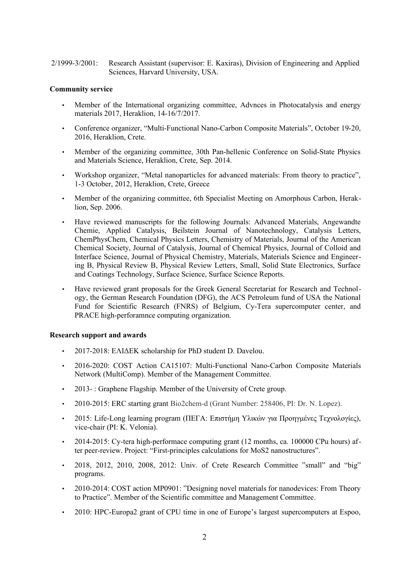2/1999-3/2001: Research Assistant (supervisor: E. Kaxiras), Division of Engineering and Applied Sciences, Harvard University, USA.

# **Community service**

- Member of the International organizing committee, Advnces in Photocatalysis and energy materials 2017, Heraklion, 14-16/7/2017.
- Conference organizer, "Multi-Functional Nano-Carbon Composite Materials", October 19-20, 2016, Heraklion, Crete.
- Member of the organizing committee, 30th Pan-hellenic Conference on Solid-State Physics and Materials Science, Heraklion, Crete, Sep. 2014.
- Workshop organizer, "Metal nanoparticles for advanced materials: From theory to practice", 1-3 October, 2012, Heraklion, Crete, Greece
- Member of the organizing committee, 6th Specialist Meeting on Amorphous Carbon, Heraklion, Sep. 2006.
- Have reviewed manuscripts for the following Journals: Advanced Materials, Angewandte Chemie, Applied Catalysis, Beilstein Journal of Nanotechnology, Catalysis Letters, ChemPhysChem, Chemical Physics Letters, Chemistry of Materials, Journal of the American Chemical Society, Journal of Catalysis, Journal of Chemical Physics, Journal of Colloid and Interface Science, Journal of Physical Chemistry, Materials, Materials Science and Engineering B, Physical Review B, Physical Review Letters, Small, Solid State Electronics, Surface and Coatings Technology, Surface Science, Surface Science Reports.
- Have reviewed grant proposals for the Greek General Secretariat for Research and Technology, the German Research Foundation (DFG), the ACS Petroleum fund of USA the National Fund for Scientific Research (FNRS) of Belgium, Cy-Tera supercomputer center, and PRACE high-perforamnce computing organization.

#### **Research support and awards**

- 2017-2018: ΕΛΙΔΕΚ scholarship for PhD student D. Davelou.
- 2016-2020: COST Action CA15107: Multi-Functional Nano-Carbon Composite Materials Network (MultiComp). Member of the Management Committee.
- 2013-: Graphene Flagship. Member of the University of Crete group.
- 2010-2015: ERC starting grant Bio2chem-d (Grant Number: 258406, PI: Dr. N. Lopez).
- 2015: Life-Long learning program (ΠΕΓΑ: Επιστήμη Υλικών για Προηγμένες Τεχνολογίες), vice-chair (PI: K. Velonia).
- 2014-2015: Cy-tera high-performace computing grant (12 months, ca. 100000 CPu hours) after peer-review. Project: "First-principles calculations for MoS2 nanostructures".
- 2018, 2012, 2010, 2008, 2012: Univ. of Crete Research Committee "small" and "big" programs.
- 2010-2014: COST action MP0901: "Designing novel materials for nanodevices: From Theory to Practice". Member of the Scientific committee and Management Committee.
- 2010: HPC-Europa2 grant of CPU time in one of Europe's largest supercomputers at Espoo,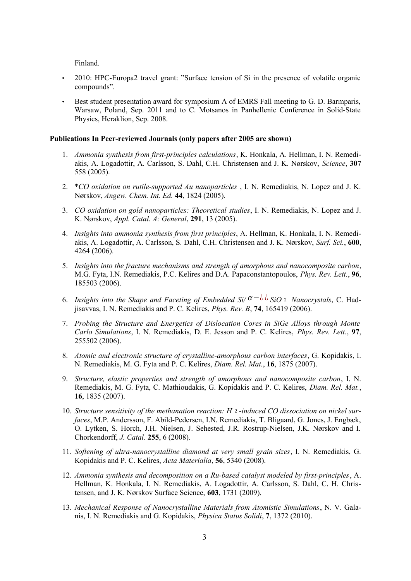Finland.

- 2010: HPC-Europa2 travel grant: "Surface tension of Si in the presence of volatile organic compounds".
- Best student presentation award for symposium A of EMRS Fall meeting to G. D. Barmparis, Warsaw, Poland, Sep. 2011 and to C. Motsanos in Panhellenic Conference in Solid-State Physics, Heraklion, Sep. 2008.

#### **Publications In Peer-reviewed Journals (only papers after 2005 are shown)**

- 1. *Ammonia synthesis from first-principles calculations*, K. Honkala, A. Hellman, I. N. Remediakis, A. Logadottir, A. Carlsson, S. Dahl, C.H. Christensen and J. K. Nørskov, *Science*, **307** 558 (2005).
- 2. \**CO oxidation on rutile-supported Au nanoparticles* , I. N. Remediakis, N. Lopez and J. K. Nørskov, *Angew. Chem. Int. Ed.* **44**, 1824 (2005).
- 3. *CO oxidation on gold nanoparticles: Theoretical studies*, I. N. Remediakis, N. Lopez and J. K. Nørskov, *Appl. Catal. A: General*, **291**, 13 (2005).
- 4. *Insights into ammonia synthesis from first principles*, A. Hellman, K. Honkala, I. N. Remediakis, A. Logadottir, A. Carlsson, S. Dahl, C.H. Christensen and J. K. Nørskov, *Surf. Sci.*, **600**, 4264 (2006).
- 5. *Insights into the fracture mechanisms and strength of amorphous and nanocomposite carbon*, M.G. Fyta, I.N. Remediakis, P.C. Kelires and D.A. Papaconstantopoulos, *Phys. Rev. Lett.*, **96**, 185503 (2006).
- 6. *Insights into the Shape and Faceting of Embedded Si/ α*−¿ ¿ *SiO* <sup>2</sup> *Nanocrystals*, C. Hadjisavvas, I. N. Remediakis and P. C. Kelires, *Phys. Rev. B*, **74**, 165419 (2006).
- 7. *Probing the Structure and Energetics of Dislocation Cores in SiGe Alloys through Monte Carlo Simulations*, I. N. Remediakis, D. E. Jesson and P. C. Kelires, *Phys. Rev. Lett.*, **97**, 255502 (2006).
- 8. *Atomic and electronic structure of crystalline-amorphous carbon interfaces*, G. Kopidakis, I. N. Remediakis, M. G. Fyta and P. C. Kelires, *Diam. Rel. Mat.*, **16**, 1875 (2007).
- 9. *Structure, elastic properties and strength of amorphous and nanocomposite carbon*, I. N. Remediakis, M. G. Fyta, C. Mathioudakis, G. Kopidakis and P. C. Kelires, *Diam. Rel. Mat.*, **16**, 1835 (2007).
- 10. *Structure sensitivity of the methanation reaction: H* <sup>2</sup> *-induced CO dissociation on nickel surfaces*, M.P. Andersson, F. Abild-Pedersen, I.N. Remediakis, T. Bligaard, G. Jones, J. Engbæk, O. Lytken, S. Horch, J.H. Nielsen, J. Sehested, J.R. Rostrup-Nielsen, J.K. Nørskov and I. Chorkendorff, *J. Catal.* **255**, 6 (2008).
- 11. *Softening of ultra-nanocrystalline diamond at very small grain sizes*, I. N. Remediakis, G. Kopidakis and P. C. Kelires, *Acta Materialia*, **56**, 5340 (2008).
- 12. *Ammonia synthesis and decomposition on a Ru-based catalyst modeled by first-principles*, A. Hellman, K. Honkala, I. N. Remediakis, A. Logadottir, A. Carlsson, S. Dahl, C. H. Christensen, and J. K. Nørskov Surface Science, **603**, 1731 (2009).
- 13. *Mechanical Response of Nanocrystalline Materials from Atomistic Simulations*, N. V. Galanis, I. N. Remediakis and G. Kopidakis, *Physica Status Solidi*, **7**, 1372 (2010).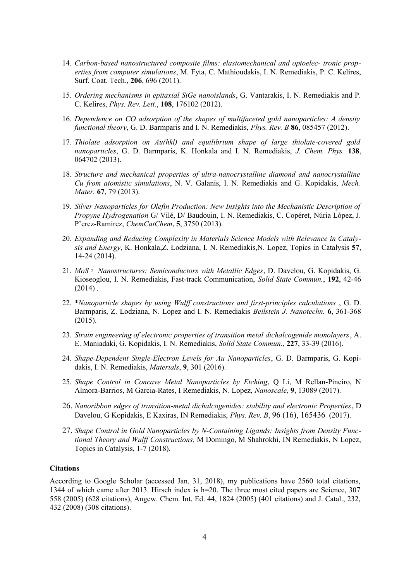- 14. *Carbon-based nanostructured composite films: elastomechanical and optoelec- tronic properties from computer simulations*, M. Fyta, C. Mathioudakis, I. N. Remediakis, P. C. Kelires, Surf. Coat. Tech., **206**, 696 (2011).
- 15. *Ordering mechanisms in epitaxial SiGe nanoislands*, G. Vantarakis, I. N. Remediakis and P. C. Kelires, *Phys. Rev. Lett.*, **108**, 176102 (2012).
- 16. *Dependence on CO adsorption of the shapes of multifaceted gold nanoparticles: A density functional theory*, G. D. Barmparis and I. N. Remediakis, *Phys. Rev. B* **86**, 085457 (2012).
- 17. *Thiolate adsorption on Au(hkl) and equilibrium shape of large thiolate-covered gold nanoparticles*, G. D. Barmparis, K. Honkala and I. N. Remediakis, *J. Chem. Phys.* **138**, 064702 (2013).
- 18. *Structure and mechanical properties of ultra-nanocrystalline diamond and nanocrystalline Cu from atomistic simulations*, N. V. Galanis, I. N. Remediakis and G. Kopidakis, *Mech. Mater.* **67**, 79 (2013).
- 19. *Silver Nanoparticles for Olefin Production: New Insights into the Mechanistic Description of Propyne Hydrogenation* G/ Vilé, D/ Baudouin, I. N. Remediakis, C. Copéret, Núria López, J. P'erez-Ramirez, *ChemCatChem*, **5**, 3750 (2013).
- 20. *Expanding and Reducing Complexity in Materials Science Models with Relevance in Catalysis and Energy*, K. Honkala,Z. Łodziana, I. N. Remediakis,N. Lopez, Topics in Catalysis **57**, 14-24 (2014).
- 21. *MoS* <sup>2</sup> *Nanostructures: Semiconductors with Metallic Edges*, D. Davelou, G. Kopidakis, G. Kioseoglou, I. N. Remediakis, Fast-track Communication, *Solid State Commun.*, **192**, 42-46  $(2014)$ .
- 22. \**Nanoparticle shapes by using Wulff constructions and first-principles calculations* , G. D. Barmparis, Z. Lodziana, N. Lopez and I. N. Remediakis *Beilstein J. Nanotechn.* **6**, 361-368 (2015).
- 23. *Strain engineering of electronic properties of transition metal dichalcogenide monolayers*, A. E. Maniadaki, G. Kopidakis, I. N. Remediakis, *Solid State Commun.*, **227**, 33-39 (2016).
- 24. *Shape-Dependent Single-Electron Levels for Au Nanoparticles*, G. D. Barmparis, G. Kopidakis, I. N. Remediakis, *Materials*, **9**, 301 (2016).
- 25. *Shape Control in Concave Metal Nanoparticles by Etching*, Q Li, M Rellan-Pineiro, N Almora-Barrios, M Garcia-Rates, I Remediakis, N. Lopez, *Nanoscale*, **9**, 13089 (2017).
- 26. *Nanoribbon edges of transition-metal dichalcogenides: stability and electronic Properties*, D Davelou, G Kopidakis, E Kaxiras, IN Remediakis, *Phys. Rev. B*, 96 (16), 165436 (2017).
- 27. *Shape Control in Gold Nanoparticles by N-Containing Ligands: Insights from Density Functional Theory and Wulff Constructions,* M Domingo, M Shahrokhi, IN Remediakis, N Lopez, Τopics in Catalysis, 1-7 (2018).

#### **Citations**

According to Google Scholar (accessed Jan. 31, 2018), my publications have 2560 total citations, 1344 of which came after 2013. Hirsch index is h=20. The three most cited papers are Science, 307 558 (2005) (628 citations), Angew. Chem. Int. Ed. 44, 1824 (2005) (401 citations) and J. Catal., 232, 432 (2008) (308 citations).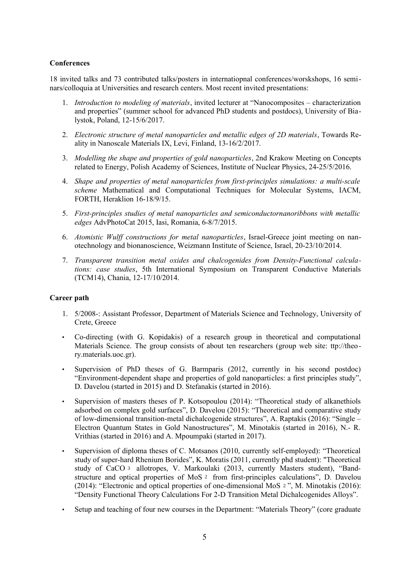# **Conferences**

18 invited talks and 73 contributed talks/posters in internatiopnal conferences/worskshops, 16 seminars/colloquia at Universities and research centers. Most recent invited presentations:

- 1. *Introduction to modeling of materials*, invited lecturer at "Nanocomposites characterization and properties" (summer school for advanced PhD students and postdocs), University of Bialystok, Poland, 12-15/6/2017.
- 2. *Electronic structure of metal nanoparticles and metallic edges of 2D materials*, Towards Reality in Nanoscale Materials IX, Levi, Finland, 13-16/2/2017.
- 3. *Modelling the shape and properties of gold nanoparticles*, 2nd Krakow Meeting on Concepts related to Energy, Polish Academy of Sciences, Institute of Nuclear Physics, 24-25/5/2016.
- 4. *Shape and properties of metal nanoparticles from first-principles simulations: a multi-scale scheme* Mathematical and Computational Techniques for Molecular Systems, IACM, FORTH, Heraklion 16-18/9/15.
- 5. *First-principles studies of metal nanoparticles and semiconductornanoribbons with metallic edges* AdvPhotoCat 2015, Iasi, Romania, 6-8/7/2015.
- 6. *Atomistic Wulff constructions for metal nanoparticles*, Israel-Greece joint meeting on nanotechnology and bionanoscience, Weizmann Institute of Science, Israel, 20-23/10/2014.
- 7. *Transparent transition metal oxides and chalcogenides from Density-Functional calculations: case studies*, 5th International Symposium on Transparent Conductive Materials (TCM14), Chania, 12-17/10/2014.

# **Career path**

- 1. 5/2008-: Assistant Professor, Department of Materials Science and Technology, University of Crete, Greece
- Co-directing (with G. Kopidakis) of a research group in theoretical and computational Materials Science. The group consists of about ten researchers (group web site: ttp://theory.materials.uoc.gr).
- Supervision of PhD theses of G. Barmparis (2012, currently in his second postdoc) "Environment-dependent shape and properties of gold nanoparticles: a first principles study", D. Davelou (started in 2015) and D. Stefanakis (started in 2016).
- Supervision of masters theses of P. Kotsopoulou (2014): "Theoretical study of alkanethiols adsorbed on complex gold surfaces", D. Davelou (2015): "Theoretical and comparative study of low-dimensional transition-metal dichalcogenide structures", A. Raptakis (2016): "Single – Electron Quantum States in Gold Nanostructures", M. Minotakis (started in 2016), N.- R. Vrithias (started in 2016) and A. Mpoumpaki (started in 2017).
- Supervision of diploma theses of C. Motsanos (2010, currently self-employed): "Theoretical study of super-hard Rhenium Borides", K. Moratis (2011, currently phd student): "Theoretical study of CaCO <sup>3</sup> allotropes, V. Markoulaki (2013, currently Masters student), "Bandstructure and optical properties of MoS <sup>2</sup> from first-principles calculations", D. Davelou (2014): "Electronic and optical properties of one-dimensional MoS <sup>2</sup> ", M. Minotakis (2016): "Density Functional Theory Calculations For 2-D Transition Metal Dichalcogenides Alloys".
- Setup and teaching of four new courses in the Department: "Materials Theory" (core graduate